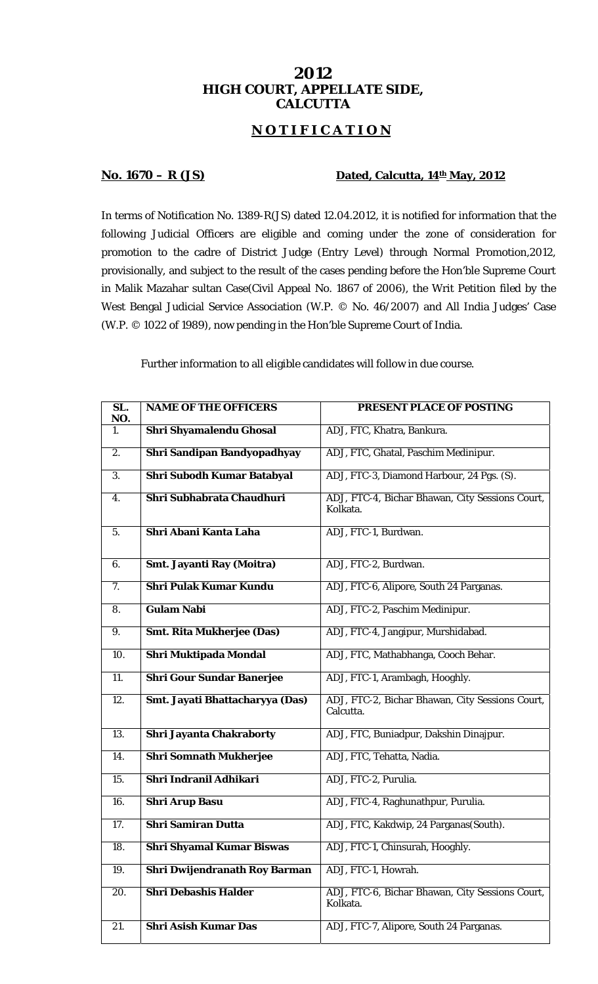## **2012 HIGH COURT, APPELLATE SIDE, CALCUTTA**

## **N O T I F I C A T I O N**

## **No. 1670 – R (JS)** Dated, Calcutta, 14<sup>th</sup> May, 2012

In terms of Notification No. 1389-R(JS) dated 12.04.2012, it is notified for information that the following Judicial Officers are eligible and coming under the zone of consideration for promotion to the cadre of District Judge (Entry Level) through Normal Promotion,2012, provisionally, and subject to the result of the cases pending before the Hon'ble Supreme Court in Malik Mazahar sultan Case(Civil Appeal No. 1867 of 2006), the Writ Petition filed by the West Bengal Judicial Service Association (W.P. © No. 46/2007) and All India Judges' Case (W.P. © 1022 of 1989), now pending in the Hon'ble Supreme Court of India.

Further information to all eligible candidates will follow in due course.

| $\overline{\text{SL}}$ .<br>NO. | <b>NAME OF THE OFFICERS</b>       | PRESENT PLACE OF POSTING                                     |
|---------------------------------|-----------------------------------|--------------------------------------------------------------|
| 1.                              | Shri Shyamalendu Ghosal           | ADJ, FTC, Khatra, Bankura.                                   |
| 2.                              | Shri Sandipan Bandyopadhyay       | ADJ, FTC, Ghatal, Paschim Medinipur.                         |
| 3.                              | <b>Shri Subodh Kumar Batabyal</b> | ADJ, FTC-3, Diamond Harbour, 24 Pgs. (S).                    |
| 4.                              | Shri Subhabrata Chaudhuri         | ADJ, FTC-4, Bichar Bhawan, City Sessions Court,<br>Kolkata.  |
| 5.                              | Shri Abani Kanta Laha             | ADJ, FTC-1, Burdwan.                                         |
| 6.                              | Smt. Jayanti Ray (Moitra)         | ADJ, FTC-2, Burdwan.                                         |
| 7.                              | <b>Shri Pulak Kumar Kundu</b>     | ADJ, FTC-6, Alipore, South 24 Parganas.                      |
| 8.                              | <b>Gulam Nabi</b>                 | ADJ, FTC-2, Paschim Medinipur.                               |
| 9.                              | <b>Smt. Rita Mukherjee (Das)</b>  | ADJ, FTC-4, Jangipur, Murshidabad.                           |
| 10.                             | Shri Muktipada Mondal             | ADJ, FTC, Mathabhanga, Cooch Behar.                          |
| $\overline{11}$ .               | <b>Shri Gour Sundar Banerjee</b>  | ADJ, FTC-1, Arambagh, Hooghly.                               |
| $\overline{12}$ .               | Smt. Jayati Bhattacharyya (Das)   | ADJ, FTC-2, Bichar Bhawan, City Sessions Court,<br>Calcutta. |
| 13.                             | Shri Jayanta Chakraborty          | ADJ, FTC, Buniadpur, Dakshin Dinajpur.                       |
| 14.                             | <b>Shri Somnath Mukherjee</b>     | ADJ, FTC, Tehatta, Nadia.                                    |
| 15.                             | Shri Indranil Adhikari            | ADJ, FTC-2, Purulia.                                         |
| 16.                             | <b>Shri Arup Basu</b>             | ADJ, FTC-4, Raghunathpur, Purulia.                           |
| 17.                             | <b>Shri Samiran Dutta</b>         | ADJ, FTC, Kakdwip, 24 Parganas(South).                       |
| 18.                             | <b>Shri Shyamal Kumar Biswas</b>  | ADJ, FTC-1, Chinsurah, Hooghly.                              |
| 19.                             | Shri Dwijendranath Roy Barman     | ADJ, FTC-1, Howrah.                                          |
| 20.                             | <b>Shri Debashis Halder</b>       | ADJ, FTC-6, Bichar Bhawan, City Sessions Court,<br>Kolkata.  |
| 21.                             | <b>Shri Asish Kumar Das</b>       | ADJ, FTC-7, Alipore, South 24 Parganas.                      |